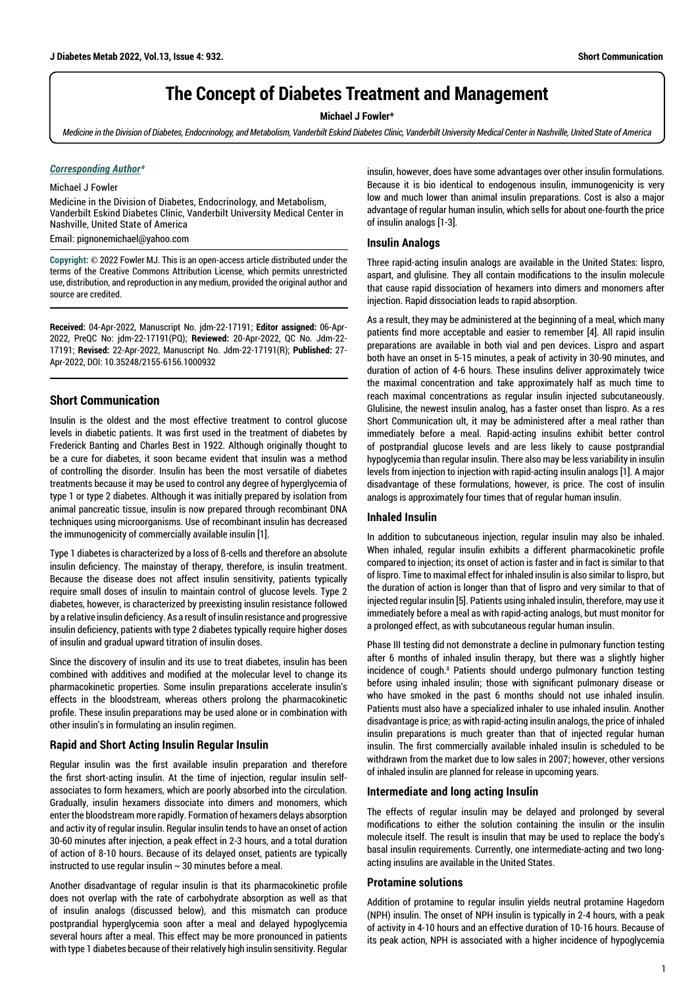# **The Concept of Diabetes Treatment and Management**

**Michael J Fowler\***

*Medicine in the Division of Diabetes, Endocrinology, and Metabolism, Vanderbilt Eskind Diabetes Clinic, Vanderbilt University Medical Center in Nashville, United State of America*

#### *Corresponding Author\**

Michael J Fowler

Medicine in the Division of Diabetes, Endocrinology, and Metabolism, Vanderbilt Eskind Diabetes Clinic, Vanderbilt University Medical Center in Nashville, United State of America

Email: pignonemichael@yahoo.com

**Copyright: ©** 2022 Fowler MJ. This is an open-access article distributed under the terms of the Creative Commons Attribution License, which permits unrestricted use, distribution, and reproduction in any medium, provided the original author and source are credited.

**Received:** 04-Apr-2022, Manuscript No. jdm-22-17191; **Editor assigned:** 06-Apr-2022, PreQC No: jdm-22-17191(PQ); **Reviewed:** 20-Apr-2022, QC No. Jdm-22- 17191; **Revised:** 22-Apr-2022, Manuscript No. Jdm-22-17191(R); **Published:** 27- Apr-2022, DOI: 10.35248/2155-6156.1000932

# **Short Communication**

Insulin is the oldest and the most effective treatment to control glucose levels in diabetic patients. It was first used in the treatment of diabetes by Frederick Banting and Charles Best in 1922. Although originally thought to be a cure for diabetes, it soon became evident that insulin was a method of controlling the disorder. Insulin has been the most versatile of diabetes treatments because it may be used to control any degree of hyperglycemia of type 1 or type 2 diabetes. Although it was initially prepared by isolation from animal pancreatic tissue, insulin is now prepared through recombinant DNA techniques using microorganisms. Use of recombinant insulin has decreased the immunogenicity of commercially available insulin [1].

Type 1 diabetes is characterized by a loss of ß-cells and therefore an absolute insulin deficiency. The mainstay of therapy, therefore, is insulin treatment. Because the disease does not affect insulin sensitivity, patients typically require small doses of insulin to maintain control of glucose levels. Type 2 diabetes, however, is characterized by preexisting insulin resistance followed by a relative insulin deficiency. As a result of insulin resistance and progressive insulin deficiency, patients with type 2 diabetes typically require higher doses of insulin and gradual upward titration of insulin doses.

Since the discovery of insulin and its use to treat diabetes, insulin has been combined with additives and modified at the molecular level to change its pharmacokinetic properties. Some insulin preparations accelerate insulin's effects in the bloodstream, whereas others prolong the pharmacokinetic profile. These insulin preparations may be used alone or in combination with other insulin's in formulating an insulin regimen.

# **Rapid and Short Acting Insulin Regular Insulin**

Regular insulin was the first available insulin preparation and therefore the first short-acting insulin. At the time of injection, regular insulin selfassociates to form hexamers, which are poorly absorbed into the circulation. Gradually, insulin hexamers dissociate into dimers and monomers, which enter the bloodstream more rapidly. Formation of hexamers delays absorption and activ ity of regular insulin. Regular insulin tends to have an onset of action 30-60 minutes after injection, a peak effect in 2-3 hours, and a total duration of action of 8-10 hours. Because of its delayed onset, patients are typically instructed to use regular insulin  $\sim$  30 minutes before a meal.

Another disadvantage of regular insulin is that its pharmacokinetic profile does not overlap with the rate of carbohydrate absorption as well as that of insulin analogs (discussed below), and this mismatch can produce postprandial hyperglycemia soon after a meal and delayed hypoglycemia several hours after a meal. This effect may be more pronounced in patients with type 1 diabetes because of their relatively high insulin sensitivity. Regular

insulin, however, does have some advantages over other insulin formulations. Because it is bio identical to endogenous insulin, immunogenicity is very low and much lower than animal insulin preparations. Cost is also a major advantage of regular human insulin, which sells for about one-fourth the price of insulin analogs [1-3].

# **Insulin Analogs**

Three rapid-acting insulin analogs are available in the United States: lispro, aspart, and glulisine. They all contain modifications to the insulin molecule that cause rapid dissociation of hexamers into dimers and monomers after injection. Rapid dissociation leads to rapid absorption.

As a result, they may be administered at the beginning of a meal, which many patients find more acceptable and easier to remember [4]. All rapid insulin preparations are available in both vial and pen devices. Lispro and aspart both have an onset in 5-15 minutes, a peak of activity in 30-90 minutes, and duration of action of 4-6 hours. These insulins deliver approximately twice the maximal concentration and take approximately half as much time to reach maximal concentrations as regular insulin injected subcutaneously. Glulisine, the newest insulin analog, has a faster onset than lispro. As a res Short Communication ult, it may be administered after a meal rather than immediately before a meal. Rapid-acting insulins exhibit better control of postprandial glucose levels and are less likely to cause postprandial hypoglycemia than regular insulin. There also may be less variability in insulin levels from injection to injection with rapid-acting insulin analogs [1]. A major disadvantage of these formulations, however, is price. The cost of insulin analogs is approximately four times that of regular human insulin.

# **Inhaled Insulin**

In addition to subcutaneous injection, regular insulin may also be inhaled. When inhaled, regular insulin exhibits a different pharmacokinetic profile compared to injection; its onset of action is faster and in fact is similar to that of lispro. Time to maximal effect for inhaled insulin is also similar to lispro, but the duration of action is longer than that of lispro and very similar to that of injected regular insulin [5]. Patients using inhaled insulin, therefore, may use it immediately before a meal as with rapid-acting analogs, but must monitor for a prolonged effect, as with subcutaneous regular human insulin.

Phase III testing did not demonstrate a decline in pulmonary function testing after 6 months of inhaled insulin therapy, but there was a slightly higher incidence of cough.<sup>8</sup> Patients should undergo pulmonary function testing before using inhaled insulin; those with significant pulmonary disease or who have smoked in the past 6 months should not use inhaled insulin. Patients must also have a specialized inhaler to use inhaled insulin. Another disadvantage is price; as with rapid-acting insulin analogs, the price of inhaled insulin preparations is much greater than that of injected regular human insulin. The first commercially available inhaled insulin is scheduled to be withdrawn from the market due to low sales in 2007; however, other versions of inhaled insulin are planned for release in upcoming years.

# **Intermediate and long acting Insulin**

The effects of regular insulin may be delayed and prolonged by several modifications to either the solution containing the insulin or the insulin molecule itself. The result is insulin that may be used to replace the body's basal insulin requirements. Currently, one intermediate-acting and two longacting insulins are available in the United States.

#### **Protamine solutions**

Addition of protamine to regular insulin yields neutral protamine Hagedorn (NPH) insulin. The onset of NPH insulin is typically in 2-4 hours, with a peak of activity in 4-10 hours and an effective duration of 10-16 hours. Because of its peak action, NPH is associated with a higher incidence of hypoglycemia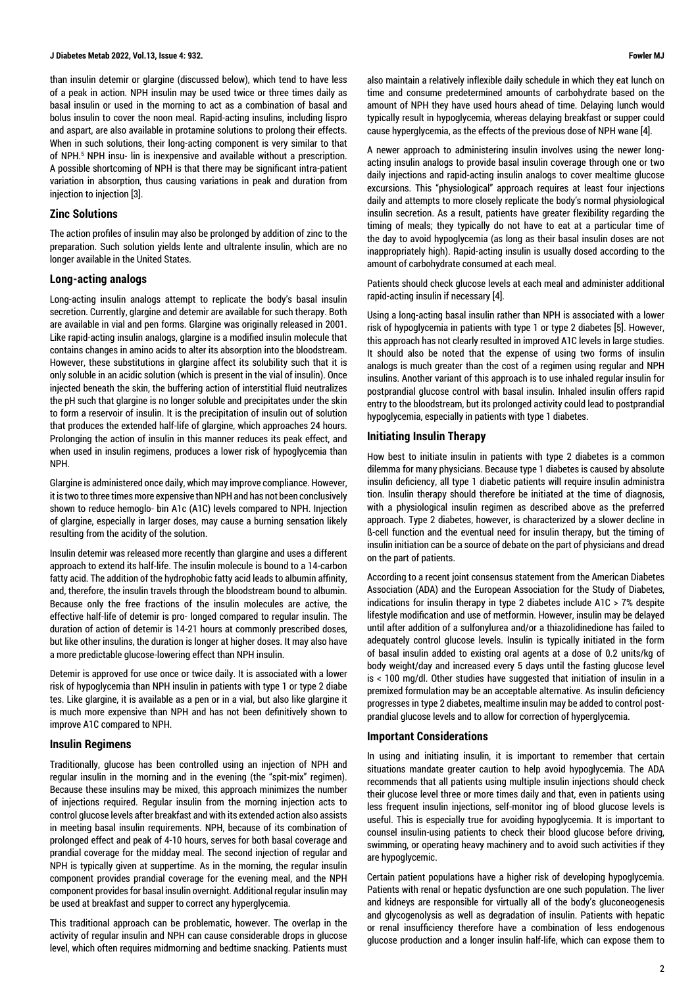than insulin detemir or glargine (discussed below), which tend to have less of a peak in action. NPH insulin may be used twice or three times daily as basal insulin or used in the morning to act as a combination of basal and bolus insulin to cover the noon meal. Rapid-acting insulins, including lispro and aspart, are also available in protamine solutions to prolong their effects. When in such solutions, their long-acting component is very similar to that of NPH.5 NPH insu- lin is inexpensive and available without a prescription. A possible shortcoming of NPH is that there may be significant intra-patient variation in absorption, thus causing variations in peak and duration from injection to injection [3].

# **Zinc Solutions**

The action profiles of insulin may also be prolonged by addition of zinc to the preparation. Such solution yields lente and ultralente insulin, which are no longer available in the United States.

# **Long-acting analogs**

Long-acting insulin analogs attempt to replicate the body's basal insulin secretion. Currently, glargine and detemir are available for such therapy. Both are available in vial and pen forms. Glargine was originally released in 2001. Like rapid-acting insulin analogs, glargine is a modified insulin molecule that contains changes in amino acids to alter its absorption into the bloodstream. However, these substitutions in glargine affect its solubility such that it is only soluble in an acidic solution (which is present in the vial of insulin). Once injected beneath the skin, the buffering action of interstitial fluid neutralizes the pH such that glargine is no longer soluble and precipitates under the skin to form a reservoir of insulin. It is the precipitation of insulin out of solution that produces the extended half-life of glargine, which approaches 24 hours. Prolonging the action of insulin in this manner reduces its peak effect, and when used in insulin regimens, produces a lower risk of hypoglycemia than NPH.

Glargine is administered once daily, which may improve compliance. However, it is two to three times more expensive than NPH and has not been conclusively shown to reduce hemoglo- bin A1c (A1C) levels compared to NPH. Injection of glargine, especially in larger doses, may cause a burning sensation likely resulting from the acidity of the solution.

Insulin detemir was released more recently than glargine and uses a different approach to extend its half-life. The insulin molecule is bound to a 14-carbon fatty acid. The addition of the hydrophobic fatty acid leads to albumin affinity, and, therefore, the insulin travels through the bloodstream bound to albumin. Because only the free fractions of the insulin molecules are active, the effective half-life of detemir is pro- longed compared to regular insulin. The duration of action of detemir is 14-21 hours at commonly prescribed doses, but like other insulins, the duration is longer at higher doses. It may also have a more predictable glucose-lowering effect than NPH insulin.

Detemir is approved for use once or twice daily. It is associated with a lower risk of hypoglycemia than NPH insulin in patients with type 1 or type 2 diabe tes. Like glargine, it is available as a pen or in a vial, but also like glargine it is much more expensive than NPH and has not been definitively shown to improve A1C compared to NPH.

# **Insulin Regimens**

Traditionally, glucose has been controlled using an injection of NPH and regular insulin in the morning and in the evening (the "spit-mix" regimen). Because these insulins may be mixed, this approach minimizes the number of injections required. Regular insulin from the morning injection acts to control glucose levels after breakfast and with its extended action also assists in meeting basal insulin requirements. NPH, because of its combination of prolonged effect and peak of 4-10 hours, serves for both basal coverage and prandial coverage for the midday meal. The second injection of regular and NPH is typically given at suppertime. As in the morning, the regular insulin component provides prandial coverage for the evening meal, and the NPH component provides for basal insulin overnight. Additional regular insulin may be used at breakfast and supper to correct any hyperglycemia.

This traditional approach can be problematic, however. The overlap in the activity of regular insulin and NPH can cause considerable drops in glucose level, which often requires midmorning and bedtime snacking. Patients must

also maintain a relatively inflexible daily schedule in which they eat lunch on time and consume predetermined amounts of carbohydrate based on the amount of NPH they have used hours ahead of time. Delaying lunch would typically result in hypoglycemia, whereas delaying breakfast or supper could cause hyperglycemia, as the effects of the previous dose of NPH wane [4].

A newer approach to administering insulin involves using the newer longacting insulin analogs to provide basal insulin coverage through one or two daily injections and rapid-acting insulin analogs to cover mealtime glucose excursions. This "physiological" approach requires at least four injections daily and attempts to more closely replicate the body's normal physiological insulin secretion. As a result, patients have greater flexibility regarding the timing of meals; they typically do not have to eat at a particular time of the day to avoid hypoglycemia (as long as their basal insulin doses are not inappropriately high). Rapid-acting insulin is usually dosed according to the amount of carbohydrate consumed at each meal.

Patients should check glucose levels at each meal and administer additional rapid-acting insulin if necessary [4].

Using a long-acting basal insulin rather than NPH is associated with a lower risk of hypoglycemia in patients with type 1 or type 2 diabetes [5]. However, this approach has not clearly resulted in improved A1C levels in large studies. It should also be noted that the expense of using two forms of insulin analogs is much greater than the cost of a regimen using regular and NPH insulins. Another variant of this approach is to use inhaled regular insulin for postprandial glucose control with basal insulin. Inhaled insulin offers rapid entry to the bloodstream, but its prolonged activity could lead to postprandial hypoglycemia, especially in patients with type 1 diabetes.

# **Initiating Insulin Therapy**

How best to initiate insulin in patients with type 2 diabetes is a common dilemma for many physicians. Because type 1 diabetes is caused by absolute insulin deficiency, all type 1 diabetic patients will require insulin administra tion. Insulin therapy should therefore be initiated at the time of diagnosis, with a physiological insulin regimen as described above as the preferred approach. Type 2 diabetes, however, is characterized by a slower decline in ß-cell function and the eventual need for insulin therapy, but the timing of insulin initiation can be a source of debate on the part of physicians and dread on the part of patients.

According to a recent joint consensus statement from the American Diabetes Association (ADA) and the European Association for the Study of Diabetes, indications for insulin therapy in type 2 diabetes include A1C > 7% despite lifestyle modification and use of metformin. However, insulin may be delayed until after addition of a sulfonylurea and/or a thiazolidinedione has failed to adequately control glucose levels. Insulin is typically initiated in the form of basal insulin added to existing oral agents at a dose of 0.2 units/kg of body weight/day and increased every 5 days until the fasting glucose level is < 100 mg/dl. Other studies have suggested that initiation of insulin in a premixed formulation may be an acceptable alternative. As insulin deficiency progresses in type 2 diabetes, mealtime insulin may be added to control postprandial glucose levels and to allow for correction of hyperglycemia.

#### **Important Considerations**

In using and initiating insulin, it is important to remember that certain situations mandate greater caution to help avoid hypoglycemia. The ADA recommends that all patients using multiple insulin injections should check their glucose level three or more times daily and that, even in patients using less frequent insulin injections, self-monitor ing of blood glucose levels is useful. This is especially true for avoiding hypoglycemia. It is important to counsel insulin-using patients to check their blood glucose before driving, swimming, or operating heavy machinery and to avoid such activities if they are hypoglycemic.

Certain patient populations have a higher risk of developing hypoglycemia. Patients with renal or hepatic dysfunction are one such population. The liver and kidneys are responsible for virtually all of the body's gluconeogenesis and glycogenolysis as well as degradation of insulin. Patients with hepatic or renal insufficiency therefore have a combination of less endogenous glucose production and a longer insulin half-life, which can expose them to